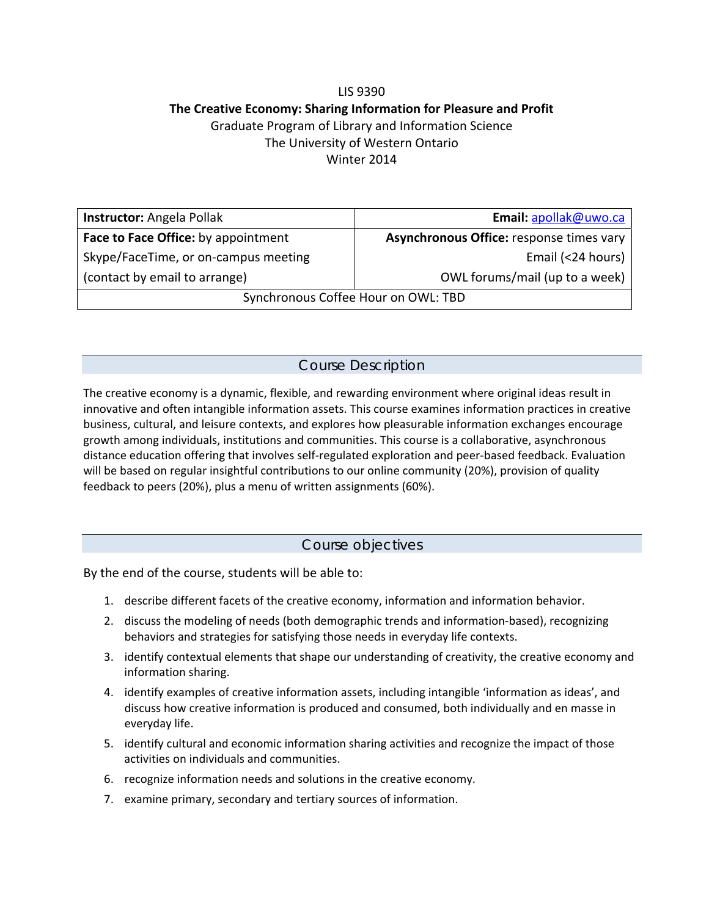# LIS 9390 **The Creative Economy: Sharing Information for Pleasure and Profit** Graduate Program of Library and Information Science The University of Western Ontario Winter 2014

| <b>Instructor:</b> Angela Pollak     | Email: apollak@uwo.ca                    |
|--------------------------------------|------------------------------------------|
| Face to Face Office: by appointment  | Asynchronous Office: response times vary |
| Skype/FaceTime, or on-campus meeting | Email (<24 hours)                        |
| (contact by email to arrange)        | OWL forums/mail (up to a week)           |
| Synchronous Coffee Hour on OWL: TBD  |                                          |

# Course Description

The creative economy is a dynamic, flexible, and rewarding environment where original ideas result in innovative and often intangible information assets. This course examines information practices in creative business, cultural, and leisure contexts, and explores how pleasurable information exchanges encourage growth among individuals, institutions and communities. This course is a collaborative, asynchronous distance education offering that involves self‐regulated exploration and peer‐based feedback. Evaluation will be based on regular insightful contributions to our online community (20%), provision of quality feedback to peers (20%), plus a menu of written assignments (60%).

## Course objectives

By the end of the course, students will be able to:

- 1. describe different facets of the creative economy, information and information behavior.
- 2. discuss the modeling of needs (both demographic trends and information‐based), recognizing behaviors and strategies for satisfying those needs in everyday life contexts.
- 3. identify contextual elements that shape our understanding of creativity, the creative economy and information sharing.
- 4. identify examples of creative information assets, including intangible 'information as ideas', and discuss how creative information is produced and consumed, both individually and en masse in everyday life.
- 5. identify cultural and economic information sharing activities and recognize the impact of those activities on individuals and communities.
- 6. recognize information needs and solutions in the creative economy.
- 7. examine primary, secondary and tertiary sources of information.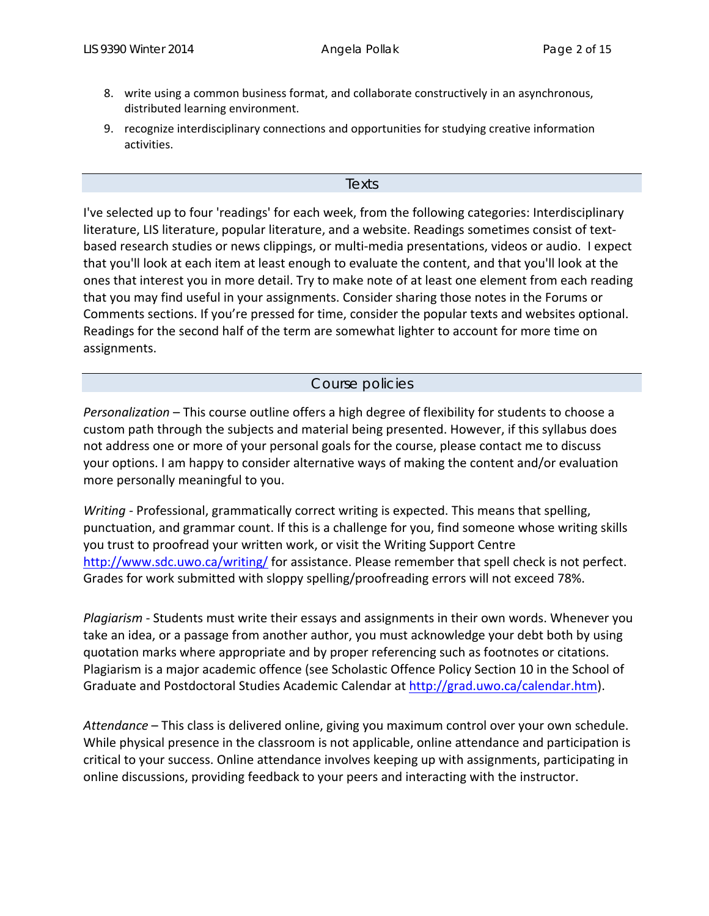- 8. write using a common business format, and collaborate constructively in an asynchronous, distributed learning environment.
- 9. recognize interdisciplinary connections and opportunities for studying creative information activities.

#### Texts

I've selected up to four 'readings' for each week, from the following categories: Interdisciplinary literature, LIS literature, popular literature, and a website. Readings sometimes consist of textbased research studies or news clippings, or multi‐media presentations, videos or audio. I expect that you'll look at each item at least enough to evaluate the content, and that you'll look at the ones that interest you in more detail. Try to make note of at least one element from each reading that you may find useful in your assignments. Consider sharing those notes in the Forums or Comments sections. If you're pressed for time, consider the popular texts and websites optional. Readings for the second half of the term are somewhat lighter to account for more time on assignments.

#### Course policies

*Personalization* – This course outline offers a high degree of flexibility for students to choose a custom path through the subjects and material being presented. However, if this syllabus does not address one or more of your personal goals for the course, please contact me to discuss your options. I am happy to consider alternative ways of making the content and/or evaluation more personally meaningful to you.

*Writing ‐* Professional, grammatically correct writing is expected. This means that spelling, punctuation, and grammar count. If this is a challenge for you, find someone whose writing skills you trust to proofread your written work, or visit the Writing Support Centre http://www.sdc.uwo.ca/writing/ for assistance. Please remember that spell check is not perfect. Grades for work submitted with sloppy spelling/proofreading errors will not exceed 78%.

*Plagiarism ‐* Students must write their essays and assignments in their own words. Whenever you take an idea, or a passage from another author, you must acknowledge your debt both by using quotation marks where appropriate and by proper referencing such as footnotes or citations. Plagiarism is a major academic offence (see Scholastic Offence Policy Section 10 in the School of Graduate and Postdoctoral Studies Academic Calendar at http://grad.uwo.ca/calendar.htm).

*Attendance* – This class is delivered online, giving you maximum control over your own schedule. While physical presence in the classroom is not applicable, online attendance and participation is critical to your success. Online attendance involves keeping up with assignments, participating in online discussions, providing feedback to your peers and interacting with the instructor.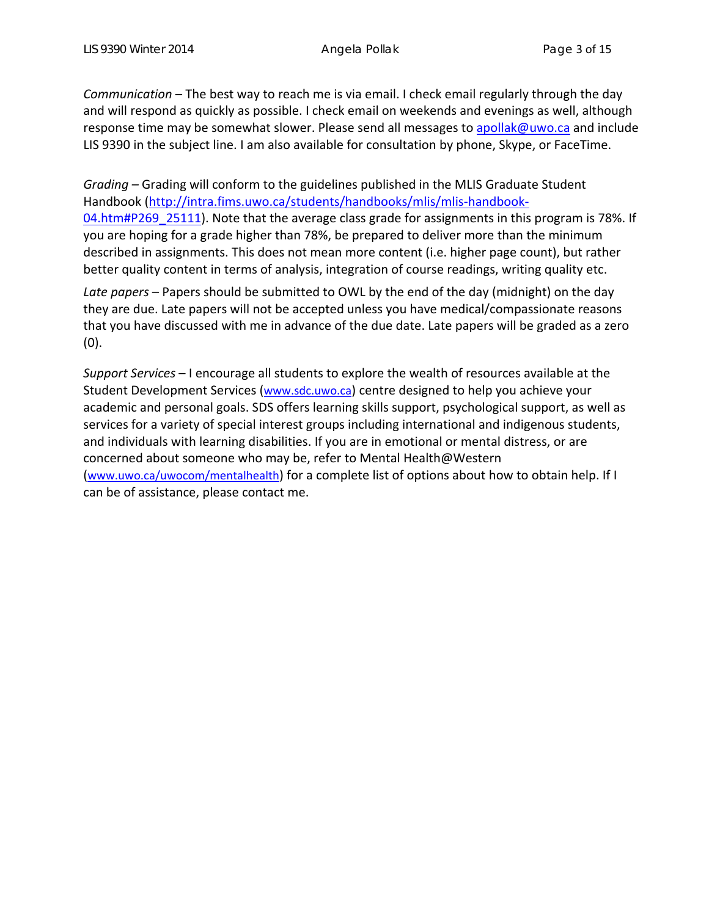*Communication* – The best way to reach me is via email. I check email regularly through the day and will respond as quickly as possible. I check email on weekends and evenings as well, although response time may be somewhat slower. Please send all messages to apollak@uwo.ca and include LIS 9390 in the subject line. I am also available for consultation by phone, Skype, or FaceTime.

*Grading –* Grading will conform to the guidelines published in the MLIS Graduate Student Handbook (http://intra.fims.uwo.ca/students/handbooks/mlis/mlis-handbook-04.htm#P269\_25111). Note that the average class grade for assignments in this program is 78%. If you are hoping for a grade higher than 78%, be prepared to deliver more than the minimum described in assignments. This does not mean more content (i.e. higher page count), but rather better quality content in terms of analysis, integration of course readings, writing quality etc.

*Late papers* – Papers should be submitted to OWL by the end of the day (midnight) on the day they are due. Late papers will not be accepted unless you have medical/compassionate reasons that you have discussed with me in advance of the due date. Late papers will be graded as a zero (0).

*Support Services* – I encourage all students to explore the wealth of resources available at the Student Development Services (www.sdc.uwo.ca) centre designed to help you achieve your academic and personal goals. SDS offers learning skills support, psychological support, as well as services for a variety of special interest groups including international and indigenous students, and individuals with learning disabilities. If you are in emotional or mental distress, or are concerned about someone who may be, refer to Mental Health@Western (www.uwo.ca/uwocom/mentalhealth) for a complete list of options about how to obtain help. If I can be of assistance, please contact me.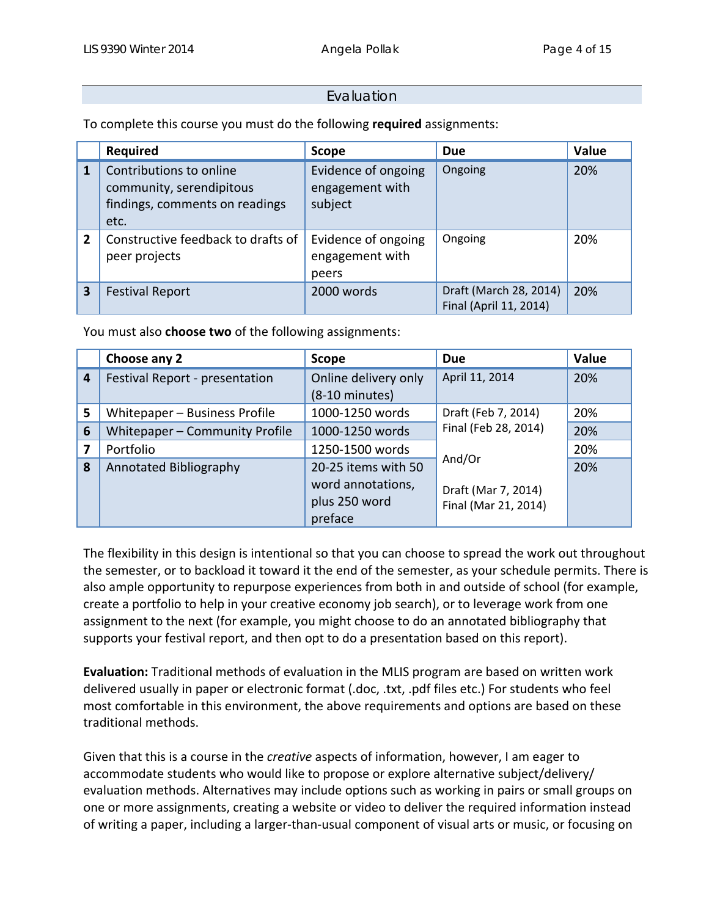## **Evaluation**

To complete this course you must do the following **required** assignments:

|                | <b>Required</b>                                                                               | <b>Scope</b>                                      | <b>Due</b>                                       | Value |
|----------------|-----------------------------------------------------------------------------------------------|---------------------------------------------------|--------------------------------------------------|-------|
| $\overline{1}$ | Contributions to online<br>community, serendipitous<br>findings, comments on readings<br>etc. | Evidence of ongoing<br>engagement with<br>subject | Ongoing                                          | 20%   |
| $\overline{2}$ | Constructive feedback to drafts of<br>peer projects                                           | Evidence of ongoing<br>engagement with<br>peers   | Ongoing                                          | 20%   |
| 3              | <b>Festival Report</b>                                                                        | 2000 words                                        | Draft (March 28, 2014)<br>Final (April 11, 2014) | 20%   |

You must also **choose two** of the following assignments:

|                | Choose any 2                                                              | Scope                                            |                      | Value |
|----------------|---------------------------------------------------------------------------|--------------------------------------------------|----------------------|-------|
| $\overline{a}$ | Festival Report - presentation                                            | Online delivery only<br>$(8-10 \text{ minutes})$ | April 11, 2014       | 20%   |
| 5              | Whitepaper - Business Profile                                             | Draft (Feb 7, 2014)<br>1000-1250 words           |                      | 20%   |
| 6              | Final (Feb 28, 2014)<br>Whitepaper - Community Profile<br>1000-1250 words |                                                  |                      | 20%   |
|                | Portfolio<br>1250-1500 words                                              |                                                  |                      | 20%   |
| 8              | Annotated Bibliography                                                    | 20-25 items with 50                              | And/Or<br>20%        |       |
|                |                                                                           | word annotations,                                | Draft (Mar 7, 2014)  |       |
|                |                                                                           | plus 250 word                                    | Final (Mar 21, 2014) |       |
|                |                                                                           | preface                                          |                      |       |

The flexibility in this design is intentional so that you can choose to spread the work out throughout the semester, or to backload it toward it the end of the semester, as your schedule permits. There is also ample opportunity to repurpose experiences from both in and outside of school (for example, create a portfolio to help in your creative economy job search), or to leverage work from one assignment to the next (for example, you might choose to do an annotated bibliography that supports your festival report, and then opt to do a presentation based on this report).

**Evaluation:** Traditional methods of evaluation in the MLIS program are based on written work delivered usually in paper or electronic format (.doc, .txt, .pdf files etc.) For students who feel most comfortable in this environment, the above requirements and options are based on these traditional methods.

Given that this is a course in the *creative* aspects of information, however, I am eager to accommodate students who would like to propose or explore alternative subject/delivery/ evaluation methods. Alternatives may include options such as working in pairs or small groups on one or more assignments, creating a website or video to deliver the required information instead of writing a paper, including a larger‐than‐usual component of visual arts or music, or focusing on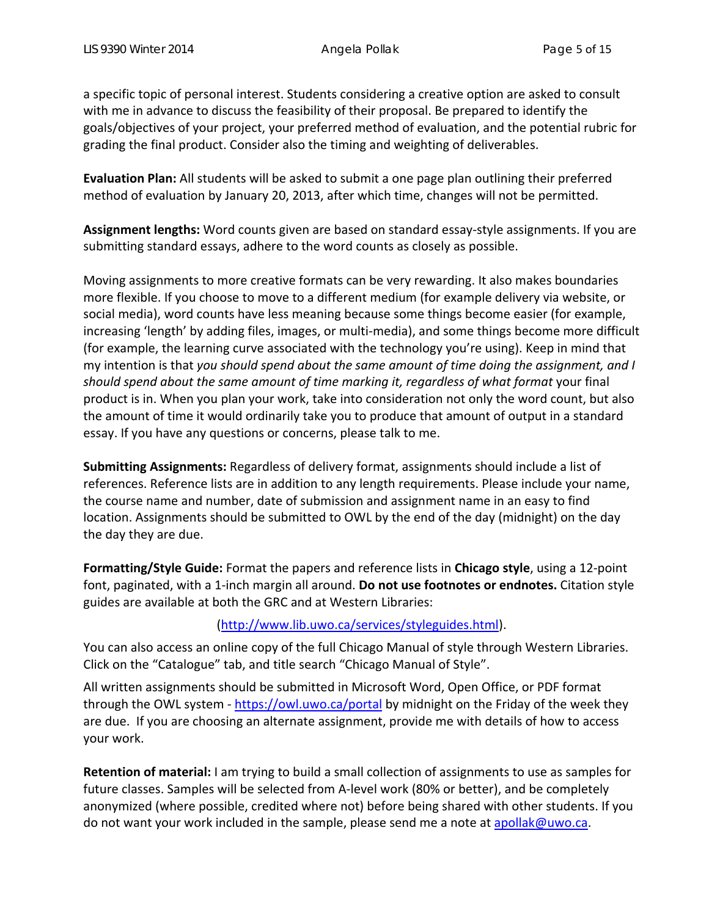a specific topic of personal interest. Students considering a creative option are asked to consult with me in advance to discuss the feasibility of their proposal. Be prepared to identify the goals/objectives of your project, your preferred method of evaluation, and the potential rubric for grading the final product. Consider also the timing and weighting of deliverables.

**Evaluation Plan:** All students will be asked to submit a one page plan outlining their preferred method of evaluation by January 20, 2013, after which time, changes will not be permitted.

**Assignment lengths:** Word counts given are based on standard essay‐style assignments. If you are submitting standard essays, adhere to the word counts as closely as possible.

Moving assignments to more creative formats can be very rewarding. It also makes boundaries more flexible. If you choose to move to a different medium (for example delivery via website, or social media), word counts have less meaning because some things become easier (for example, increasing 'length' by adding files, images, or multi-media), and some things become more difficult (for example, the learning curve associated with the technology you're using). Keep in mind that my intention is that *you should spend about the same amount of time doing the assignment, and I should spend about the same amount of time marking it, regardless of what format* your final product is in. When you plan your work, take into consideration not only the word count, but also the amount of time it would ordinarily take you to produce that amount of output in a standard essay. If you have any questions or concerns, please talk to me.

**Submitting Assignments:** Regardless of delivery format, assignments should include a list of references. Reference lists are in addition to any length requirements. Please include your name, the course name and number, date of submission and assignment name in an easy to find location. Assignments should be submitted to OWL by the end of the day (midnight) on the day the day they are due.

**Formatting/Style Guide:** Format the papers and reference lists in **Chicago style**, using a 12‐point font, paginated, with a 1‐inch margin all around. **Do not use footnotes or endnotes.** Citation style guides are available at both the GRC and at Western Libraries:

## (http://www.lib.uwo.ca/services/styleguides.html).

You can also access an online copy of the full Chicago Manual of style through Western Libraries. Click on the "Catalogue" tab, and title search "Chicago Manual of Style".

All written assignments should be submitted in Microsoft Word, Open Office, or PDF format through the OWL system - https://owl.uwo.ca/portal by midnight on the Friday of the week they are due. If you are choosing an alternate assignment, provide me with details of how to access your work.

**Retention of material:** I am trying to build a small collection of assignments to use as samples for future classes. Samples will be selected from A-level work (80% or better), and be completely anonymized (where possible, credited where not) before being shared with other students. If you do not want your work included in the sample, please send me a note at apollak@uwo.ca.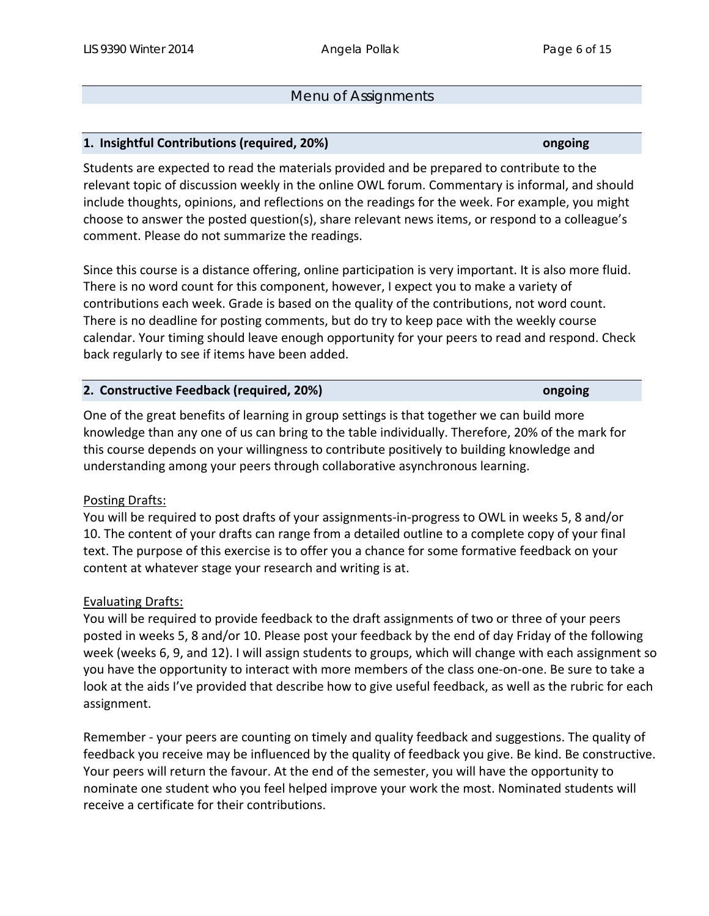## Menu of Assignments

## **1. Insightful Contributions (required, 20%) ongoing**

Students are expected to read the materials provided and be prepared to contribute to the relevant topic of discussion weekly in the online OWL forum. Commentary is informal, and should include thoughts, opinions, and reflections on the readings for the week. For example, you might choose to answer the posted question(s), share relevant news items, or respond to a colleague's comment. Please do not summarize the readings.

Since this course is a distance offering, online participation is very important. It is also more fluid. There is no word count for this component, however, I expect you to make a variety of contributions each week. Grade is based on the quality of the contributions, not word count. There is no deadline for posting comments, but do try to keep pace with the weekly course calendar. Your timing should leave enough opportunity for your peers to read and respond. Check back regularly to see if items have been added.

### **2. Constructive Feedback (required, 20%) ongoing**

One of the great benefits of learning in group settings is that together we can build more knowledge than any one of us can bring to the table individually. Therefore, 20% of the mark for this course depends on your willingness to contribute positively to building knowledge and understanding among your peers through collaborative asynchronous learning.

## Posting Drafts:

You will be required to post drafts of your assignments‐in‐progress to OWL in weeks 5, 8 and/or 10. The content of your drafts can range from a detailed outline to a complete copy of your final text. The purpose of this exercise is to offer you a chance for some formative feedback on your content at whatever stage your research and writing is at.

### Evaluating Drafts:

You will be required to provide feedback to the draft assignments of two or three of your peers posted in weeks 5, 8 and/or 10. Please post your feedback by the end of day Friday of the following week (weeks 6, 9, and 12). I will assign students to groups, which will change with each assignment so you have the opportunity to interact with more members of the class one‐on‐one. Be sure to take a look at the aids I've provided that describe how to give useful feedback, as well as the rubric for each assignment.

Remember ‐ your peers are counting on timely and quality feedback and suggestions. The quality of feedback you receive may be influenced by the quality of feedback you give. Be kind. Be constructive. Your peers will return the favour. At the end of the semester, you will have the opportunity to nominate one student who you feel helped improve your work the most. Nominated students will receive a certificate for their contributions.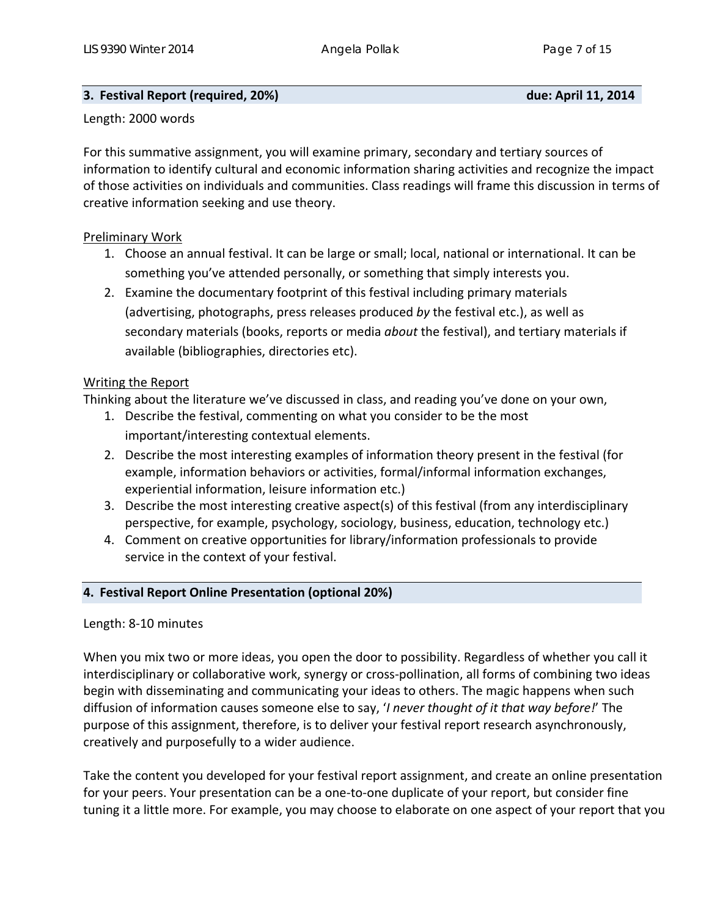## **3. Festival Report (required, 20%) due: April 11, 2014**

### Length: 2000 words

For this summative assignment, you will examine primary, secondary and tertiary sources of information to identify cultural and economic information sharing activities and recognize the impact of those activities on individuals and communities. Class readings will frame this discussion in terms of creative information seeking and use theory.

## Preliminary Work

- 1. Choose an annual festival. It can be large or small; local, national or international. It can be something you've attended personally, or something that simply interests you.
- 2. Examine the documentary footprint of this festival including primary materials (advertising, photographs, press releases produced *by* the festival etc.), as well as secondary materials (books, reports or media *about* the festival), and tertiary materials if available (bibliographies, directories etc).

## Writing the Report

Thinking about the literature we've discussed in class, and reading you've done on your own,

- 1. Describe the festival, commenting on what you consider to be the most important/interesting contextual elements.
- 2. Describe the most interesting examples of information theory present in the festival (for example, information behaviors or activities, formal/informal information exchanges, experiential information, leisure information etc.)
- 3. Describe the most interesting creative aspect(s) of this festival (from any interdisciplinary perspective, for example, psychology, sociology, business, education, technology etc.)
- 4. Comment on creative opportunities for library/information professionals to provide service in the context of your festival.

## **4. Festival Report Online Presentation (optional 20%)**

## Length: 8‐10 minutes

When you mix two or more ideas, you open the door to possibility. Regardless of whether you call it interdisciplinary or collaborative work, synergy or cross‐pollination, all forms of combining two ideas begin with disseminating and communicating your ideas to others. The magic happens when such diffusion of information causes someone else to say, '*I never thought of it that way before!*' The purpose of this assignment, therefore, is to deliver your festival report research asynchronously, creatively and purposefully to a wider audience.

Take the content you developed for your festival report assignment, and create an online presentation for your peers. Your presentation can be a one‐to‐one duplicate of your report, but consider fine tuning it a little more. For example, you may choose to elaborate on one aspect of your report that you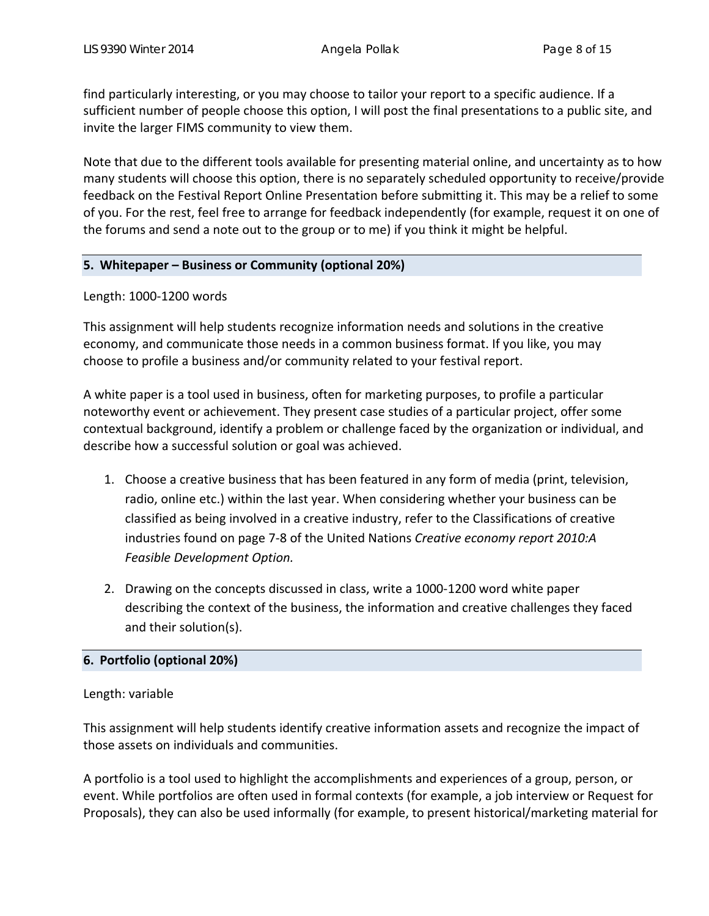find particularly interesting, or you may choose to tailor your report to a specific audience. If a sufficient number of people choose this option, I will post the final presentations to a public site, and invite the larger FIMS community to view them.

Note that due to the different tools available for presenting material online, and uncertainty as to how many students will choose this option, there is no separately scheduled opportunity to receive/provide feedback on the Festival Report Online Presentation before submitting it. This may be a relief to some of you. For the rest, feel free to arrange for feedback independently (for example, request it on one of the forums and send a note out to the group or to me) if you think it might be helpful.

## **5. Whitepaper – Business or Community (optional 20%)**

Length: 1000‐1200 words

This assignment will help students recognize information needs and solutions in the creative economy, and communicate those needs in a common business format. If you like, you may choose to profile a business and/or community related to your festival report.

A white paper is a tool used in business, often for marketing purposes, to profile a particular noteworthy event or achievement. They present case studies of a particular project, offer some contextual background, identify a problem or challenge faced by the organization or individual, and describe how a successful solution or goal was achieved.

- 1. Choose a creative business that has been featured in any form of media (print, television, radio, online etc.) within the last year. When considering whether your business can be classified as being involved in a creative industry, refer to the Classifications of creative industries found on page 7‐8 of the United Nations *Creative economy report 2010:A Feasible Development Option.*
- 2. Drawing on the concepts discussed in class, write a 1000‐1200 word white paper describing the context of the business, the information and creative challenges they faced and their solution(s).

## **6. Portfolio (optional 20%)**

## Length: variable

This assignment will help students identify creative information assets and recognize the impact of those assets on individuals and communities.

A portfolio is a tool used to highlight the accomplishments and experiences of a group, person, or event. While portfolios are often used in formal contexts (for example, a job interview or Request for Proposals), they can also be used informally (for example, to present historical/marketing material for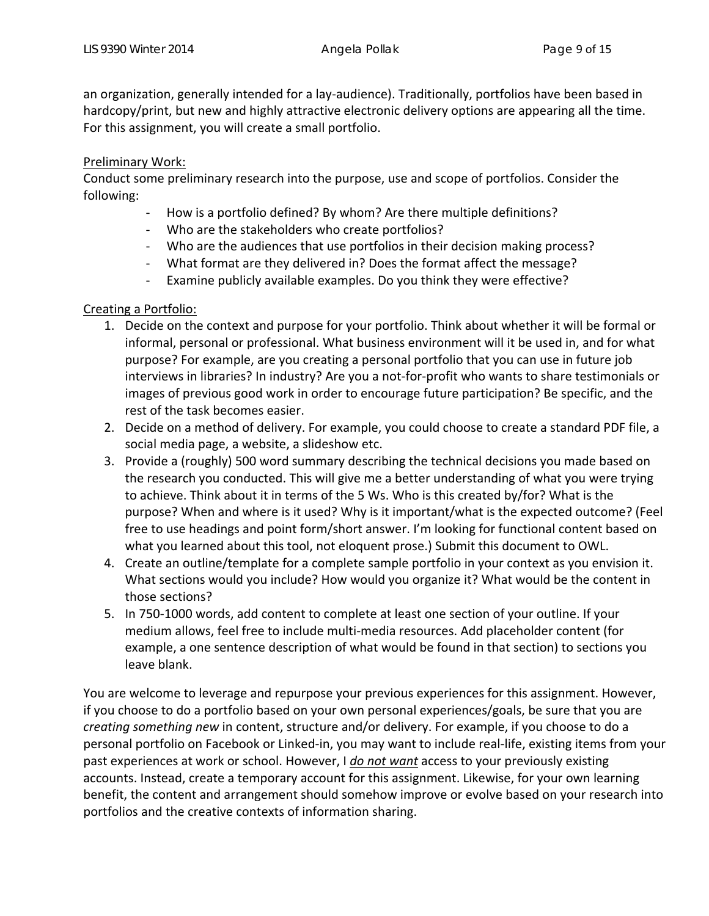an organization, generally intended for a lay-audience). Traditionally, portfolios have been based in hardcopy/print, but new and highly attractive electronic delivery options are appearing all the time. For this assignment, you will create a small portfolio.

## Preliminary Work:

Conduct some preliminary research into the purpose, use and scope of portfolios. Consider the following:

- ‐ How is a portfolio defined? By whom? Are there multiple definitions?
- ‐ Who are the stakeholders who create portfolios?
- ‐ Who are the audiences that use portfolios in their decision making process?
- ‐ What format are they delivered in? Does the format affect the message?
- ‐ Examine publicly available examples. Do you think they were effective?

## Creating a Portfolio:

- 1. Decide on the context and purpose for your portfolio. Think about whether it will be formal or informal, personal or professional. What business environment will it be used in, and for what purpose? For example, are you creating a personal portfolio that you can use in future job interviews in libraries? In industry? Are you a not‐for‐profit who wants to share testimonials or images of previous good work in order to encourage future participation? Be specific, and the rest of the task becomes easier.
- 2. Decide on a method of delivery. For example, you could choose to create a standard PDF file, a social media page, a website, a slideshow etc.
- 3. Provide a (roughly) 500 word summary describing the technical decisions you made based on the research you conducted. This will give me a better understanding of what you were trying to achieve. Think about it in terms of the 5 Ws. Who is this created by/for? What is the purpose? When and where is it used? Why is it important/what is the expected outcome? (Feel free to use headings and point form/short answer. I'm looking for functional content based on what you learned about this tool, not eloquent prose.) Submit this document to OWL.
- 4. Create an outline/template for a complete sample portfolio in your context as you envision it. What sections would you include? How would you organize it? What would be the content in those sections?
- 5. In 750‐1000 words, add content to complete at least one section of your outline. If your medium allows, feel free to include multi‐media resources. Add placeholder content (for example, a one sentence description of what would be found in that section) to sections you leave blank.

You are welcome to leverage and repurpose your previous experiences for this assignment. However, if you choose to do a portfolio based on your own personal experiences/goals, be sure that you are *creating something new* in content, structure and/or delivery. For example, if you choose to do a personal portfolio on Facebook or Linked‐in, you may want to include real‐life, existing items from your past experiences at work or school. However, I *do not want* access to your previously existing accounts. Instead, create a temporary account for this assignment. Likewise, for your own learning benefit, the content and arrangement should somehow improve or evolve based on your research into portfolios and the creative contexts of information sharing.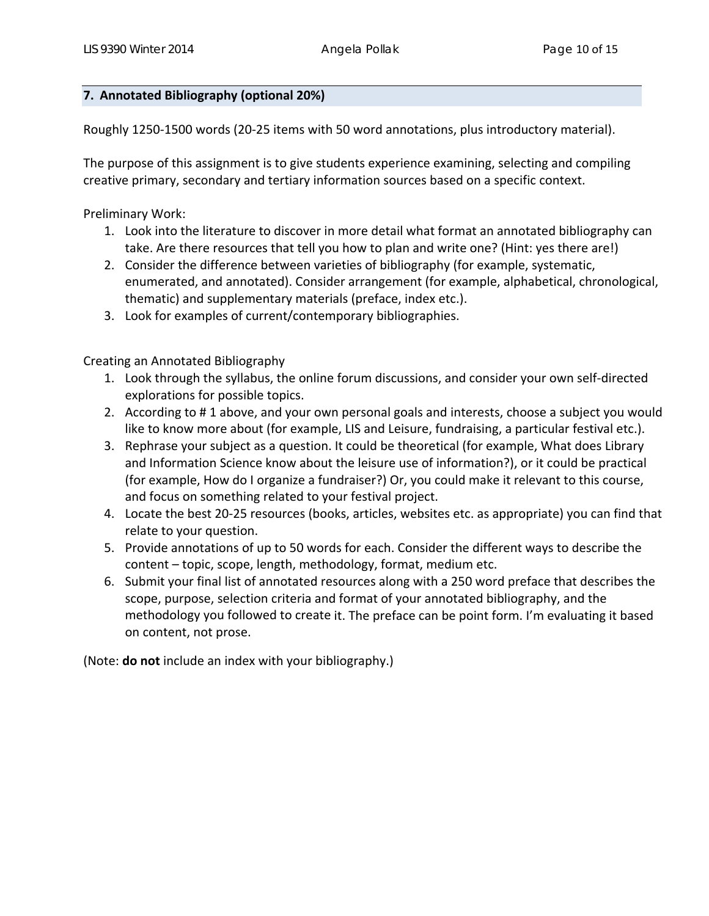## **7. Annotated Bibliography (optional 20%)**

Roughly 1250‐1500 words (20‐25 items with 50 word annotations, plus introductory material).

The purpose of this assignment is to give students experience examining, selecting and compiling creative primary, secondary and tertiary information sources based on a specific context.

Preliminary Work:

- 1. Look into the literature to discover in more detail what format an annotated bibliography can take. Are there resources that tell you how to plan and write one? (Hint: yes there are!)
- 2. Consider the difference between varieties of bibliography (for example, systematic, enumerated, and annotated). Consider arrangement (for example, alphabetical, chronological, thematic) and supplementary materials (preface, index etc.).
- 3. Look for examples of current/contemporary bibliographies.

Creating an Annotated Bibliography

- 1. Look through the syllabus, the online forum discussions, and consider your own self‐directed explorations for possible topics.
- 2. According to # 1 above, and your own personal goals and interests, choose a subject you would like to know more about (for example, LIS and Leisure, fundraising, a particular festival etc.).
- 3. Rephrase your subject as a question. It could be theoretical (for example, What does Library and Information Science know about the leisure use of information?), or it could be practical (for example, How do I organize a fundraiser?) Or, you could make it relevant to this course, and focus on something related to your festival project.
- 4. Locate the best 20‐25 resources (books, articles, websites etc. as appropriate) you can find that relate to your question.
- 5. Provide annotations of up to 50 words for each. Consider the different ways to describe the content – topic, scope, length, methodology, format, medium etc.
- 6. Submit your final list of annotated resources along with a 250 word preface that describes the scope, purpose, selection criteria and format of your annotated bibliography, and the methodology you followed to create it. The preface can be point form. I'm evaluating it based on content, not prose.

(Note: **do not** include an index with your bibliography.)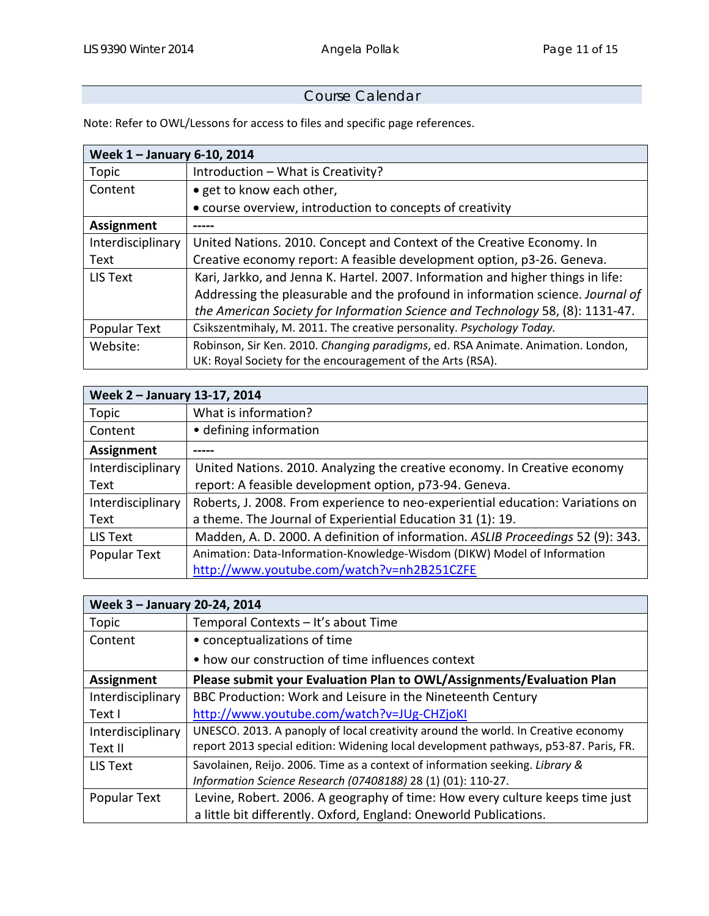## Course Calendar

Note: Refer to OWL/Lessons for access to files and specific page references.

| Week 1 - January 6-10, 2014 |                                                                                  |  |
|-----------------------------|----------------------------------------------------------------------------------|--|
| Topic                       | Introduction - What is Creativity?                                               |  |
| Content                     | • get to know each other,                                                        |  |
|                             | • course overview, introduction to concepts of creativity                        |  |
| <b>Assignment</b>           |                                                                                  |  |
| Interdisciplinary           | United Nations. 2010. Concept and Context of the Creative Economy. In            |  |
| Text                        | Creative economy report: A feasible development option, p3-26. Geneva.           |  |
| LIS Text                    | Kari, Jarkko, and Jenna K. Hartel. 2007. Information and higher things in life:  |  |
|                             | Addressing the pleasurable and the profound in information science. Journal of   |  |
|                             | the American Society for Information Science and Technology 58, (8): 1131-47.    |  |
| Popular Text                | Csikszentmihaly, M. 2011. The creative personality. Psychology Today.            |  |
| Website:                    | Robinson, Sir Ken. 2010. Changing paradigms, ed. RSA Animate. Animation. London, |  |
|                             | UK: Royal Society for the encouragement of the Arts (RSA).                       |  |

| Week 2 - January 13-17, 2014 |                                                                                 |  |
|------------------------------|---------------------------------------------------------------------------------|--|
| Topic                        | What is information?                                                            |  |
| Content                      | • defining information                                                          |  |
| Assignment                   |                                                                                 |  |
| Interdisciplinary            | United Nations. 2010. Analyzing the creative economy. In Creative economy       |  |
| Text                         | report: A feasible development option, p73-94. Geneva.                          |  |
| Interdisciplinary            | Roberts, J. 2008. From experience to neo-experiential education: Variations on  |  |
| Text                         | a theme. The Journal of Experiential Education 31 (1): 19.                      |  |
| LIS Text                     | Madden, A. D. 2000. A definition of information. ASLIB Proceedings 52 (9): 343. |  |
| Popular Text                 | Animation: Data-Information-Knowledge-Wisdom (DIKW) Model of Information        |  |
|                              | http://www.youtube.com/watch?v=nh2B251CZFE                                      |  |

| Week 3 - January 20-24, 2014 |                                                                                      |  |
|------------------------------|--------------------------------------------------------------------------------------|--|
| Topic                        | Temporal Contexts - It's about Time                                                  |  |
| Content                      | • conceptualizations of time                                                         |  |
|                              | • how our construction of time influences context                                    |  |
| <b>Assignment</b>            | Please submit your Evaluation Plan to OWL/Assignments/Evaluation Plan                |  |
| Interdisciplinary            | BBC Production: Work and Leisure in the Nineteenth Century                           |  |
| Text I                       | http://www.youtube.com/watch?v=JUg-CHZjoKI                                           |  |
| Interdisciplinary            | UNESCO. 2013. A panoply of local creativity around the world. In Creative economy    |  |
| Text II                      | report 2013 special edition: Widening local development pathways, p53-87. Paris, FR. |  |
| LIS Text                     | Savolainen, Reijo. 2006. Time as a context of information seeking. Library &         |  |
|                              | Information Science Research (07408188) 28 (1) (01): 110-27.                         |  |
| Popular Text                 | Levine, Robert. 2006. A geography of time: How every culture keeps time just         |  |
|                              | a little bit differently. Oxford, England: Oneworld Publications.                    |  |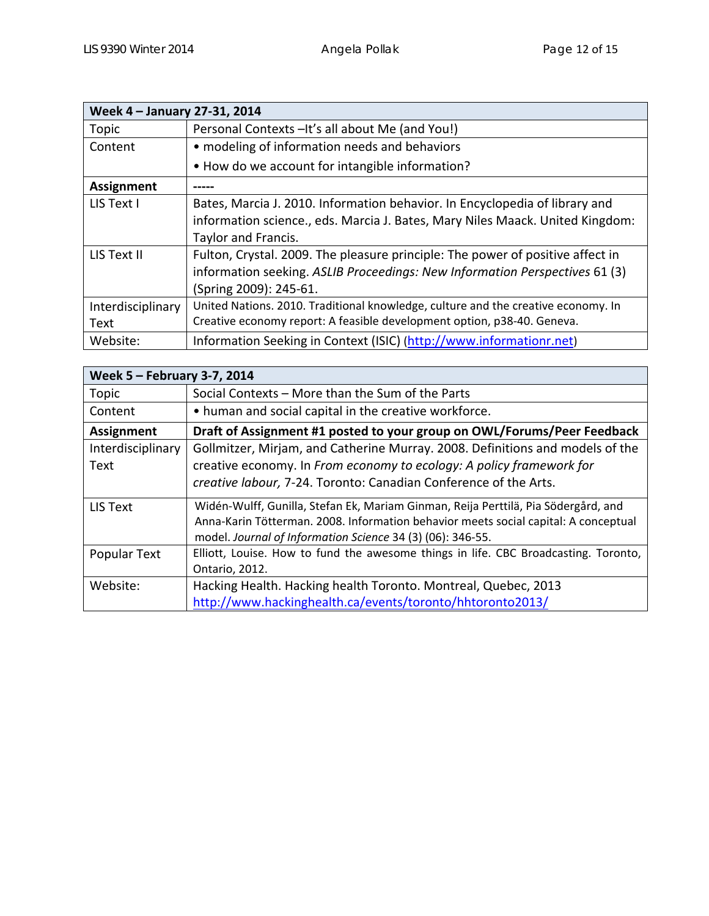| Week 4 - January 27-31, 2014 |                                                                                   |  |
|------------------------------|-----------------------------------------------------------------------------------|--|
| Topic                        | Personal Contexts - It's all about Me (and You!)                                  |  |
| Content                      | • modeling of information needs and behaviors                                     |  |
|                              | • How do we account for intangible information?                                   |  |
| <b>Assignment</b>            |                                                                                   |  |
| LIS Text I                   | Bates, Marcia J. 2010. Information behavior. In Encyclopedia of library and       |  |
|                              | information science., eds. Marcia J. Bates, Mary Niles Maack. United Kingdom:     |  |
|                              | Taylor and Francis.                                                               |  |
| LIS Text II                  | Fulton, Crystal. 2009. The pleasure principle: The power of positive affect in    |  |
|                              | information seeking. ASLIB Proceedings: New Information Perspectives 61 (3)       |  |
|                              | (Spring 2009): 245-61.                                                            |  |
| Interdisciplinary            | United Nations. 2010. Traditional knowledge, culture and the creative economy. In |  |
| Text                         | Creative economy report: A feasible development option, p38-40. Geneva.           |  |
| Website:                     | Information Seeking in Context (ISIC) (http://www.informationr.net)               |  |

| Week 5 - February 3-7, 2014 |                                                                                     |  |
|-----------------------------|-------------------------------------------------------------------------------------|--|
| Topic                       | Social Contexts - More than the Sum of the Parts                                    |  |
| Content                     | • human and social capital in the creative workforce.                               |  |
| <b>Assignment</b>           | Draft of Assignment #1 posted to your group on OWL/Forums/Peer Feedback             |  |
| Interdisciplinary           | Gollmitzer, Mirjam, and Catherine Murray. 2008. Definitions and models of the       |  |
| Text                        | creative economy. In From economy to ecology: A policy framework for                |  |
|                             | creative labour, 7-24. Toronto: Canadian Conference of the Arts.                    |  |
| <b>LIS Text</b>             | Widén-Wulff, Gunilla, Stefan Ek, Mariam Ginman, Reija Perttilä, Pia Södergård, and  |  |
|                             | Anna-Karin Tötterman. 2008. Information behavior meets social capital: A conceptual |  |
|                             | model. Journal of Information Science 34 (3) (06): 346-55.                          |  |
| Popular Text                | Elliott, Louise. How to fund the awesome things in life. CBC Broadcasting. Toronto, |  |
|                             | Ontario, 2012.                                                                      |  |
| Website:                    | Hacking Health. Hacking health Toronto. Montreal, Quebec, 2013                      |  |
|                             | http://www.hackinghealth.ca/events/toronto/hhtoronto2013/                           |  |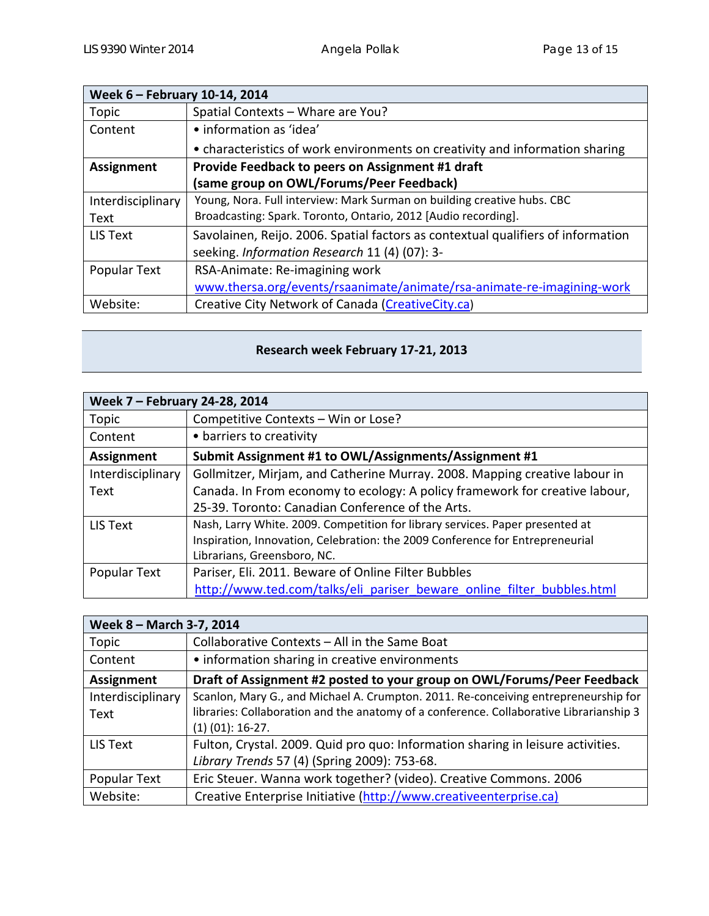| Week 6 - February 10-14, 2014 |                                                                                  |
|-------------------------------|----------------------------------------------------------------------------------|
| <b>Topic</b>                  | Spatial Contexts - Whare are You?                                                |
| Content                       | • information as 'idea'                                                          |
|                               | • characteristics of work environments on creativity and information sharing     |
| <b>Assignment</b>             | Provide Feedback to peers on Assignment #1 draft                                 |
|                               | (same group on OWL/Forums/Peer Feedback)                                         |
| Interdisciplinary             | Young, Nora. Full interview: Mark Surman on building creative hubs. CBC          |
| Text                          | Broadcasting: Spark. Toronto, Ontario, 2012 [Audio recording].                   |
| LIS Text                      | Savolainen, Reijo. 2006. Spatial factors as contextual qualifiers of information |
|                               | seeking. Information Research 11 (4) (07): 3-                                    |
| Popular Text                  | RSA-Animate: Re-imagining work                                                   |
|                               | www.thersa.org/events/rsaanimate/animate/rsa-animate-re-imagining-work           |
| Website:                      | Creative City Network of Canada (CreativeCity.ca)                                |

# **Research week February 17‐21, 2013**

| Week 7 - February 24-28, 2014 |                                                                               |  |
|-------------------------------|-------------------------------------------------------------------------------|--|
| Topic                         | Competitive Contexts - Win or Lose?                                           |  |
| Content                       | • barriers to creativity                                                      |  |
| <b>Assignment</b>             | Submit Assignment #1 to OWL/Assignments/Assignment #1                         |  |
| Interdisciplinary             | Gollmitzer, Mirjam, and Catherine Murray. 2008. Mapping creative labour in    |  |
| Text                          | Canada. In From economy to ecology: A policy framework for creative labour,   |  |
|                               | 25-39. Toronto: Canadian Conference of the Arts.                              |  |
| LIS Text                      | Nash, Larry White. 2009. Competition for library services. Paper presented at |  |
|                               | Inspiration, Innovation, Celebration: the 2009 Conference for Entrepreneurial |  |
|                               | Librarians, Greensboro, NC.                                                   |  |
| Popular Text                  | Pariser, Eli. 2011. Beware of Online Filter Bubbles                           |  |
|                               | http://www.ted.com/talks/eli pariser beware online filter bubbles.html        |  |

| Week 8 - March 3-7, 2014 |                                                                                         |  |
|--------------------------|-----------------------------------------------------------------------------------------|--|
| Topic                    | Collaborative Contexts - All in the Same Boat                                           |  |
| Content                  | • information sharing in creative environments                                          |  |
| Assignment               | Draft of Assignment #2 posted to your group on OWL/Forums/Peer Feedback                 |  |
| Interdisciplinary        | Scanlon, Mary G., and Michael A. Crumpton. 2011. Re-conceiving entrepreneurship for     |  |
| Text                     | libraries: Collaboration and the anatomy of a conference. Collaborative Librarianship 3 |  |
|                          | $(1)$ $(01)$ : 16-27.                                                                   |  |
| LIS Text                 | Fulton, Crystal. 2009. Quid pro quo: Information sharing in leisure activities.         |  |
|                          | Library Trends 57 (4) (Spring 2009): 753-68.                                            |  |
| Popular Text             | Eric Steuer. Wanna work together? (video). Creative Commons. 2006                       |  |
| Website:                 | Creative Enterprise Initiative (http://www.creativeenterprise.ca)                       |  |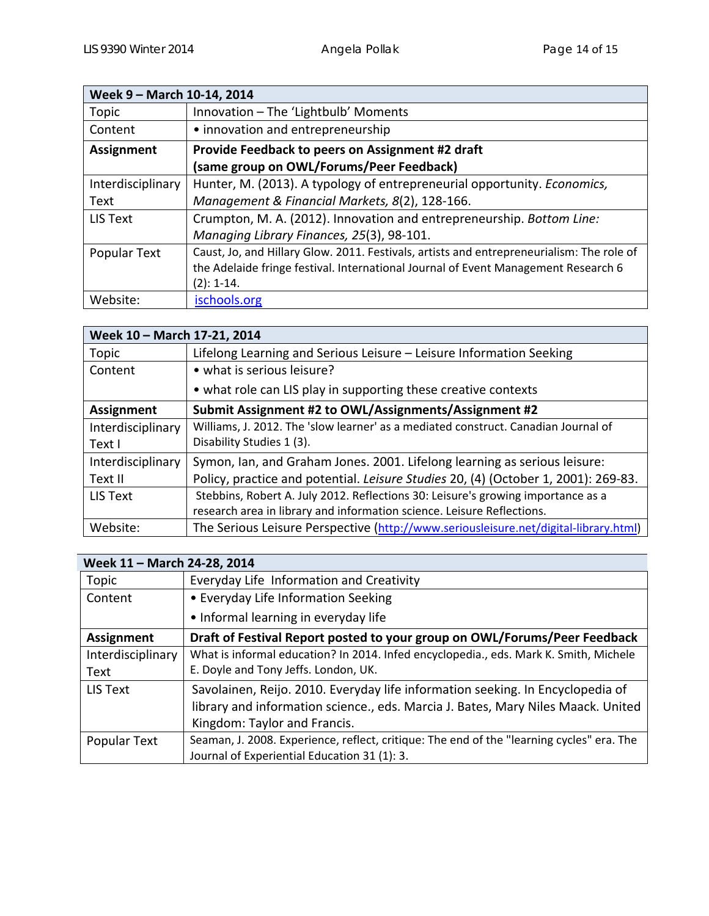| Week 9 - March 10-14, 2014 |                                                                                           |  |
|----------------------------|-------------------------------------------------------------------------------------------|--|
| Topic                      | Innovation - The 'Lightbulb' Moments                                                      |  |
| Content                    | • innovation and entrepreneurship                                                         |  |
| <b>Assignment</b>          | Provide Feedback to peers on Assignment #2 draft                                          |  |
|                            | (same group on OWL/Forums/Peer Feedback)                                                  |  |
| Interdisciplinary          | Hunter, M. (2013). A typology of entrepreneurial opportunity. Economics,                  |  |
| Text                       | Management & Financial Markets, 8(2), 128-166.                                            |  |
| LIS Text                   | Crumpton, M. A. (2012). Innovation and entrepreneurship. Bottom Line:                     |  |
|                            | Managing Library Finances, 25(3), 98-101.                                                 |  |
| Popular Text               | Caust, Jo, and Hillary Glow. 2011. Festivals, artists and entrepreneurialism: The role of |  |
|                            | the Adelaide fringe festival. International Journal of Event Management Research 6        |  |
|                            | $(2): 1-14.$                                                                              |  |
| Website:                   | ischools.org                                                                              |  |

| Week 10 - March 17-21, 2014 |                                                                                      |  |
|-----------------------------|--------------------------------------------------------------------------------------|--|
| Topic                       | Lifelong Learning and Serious Leisure – Leisure Information Seeking                  |  |
| Content                     | • what is serious leisure?                                                           |  |
|                             | • what role can LIS play in supporting these creative contexts                       |  |
| <b>Assignment</b>           | Submit Assignment #2 to OWL/Assignments/Assignment #2                                |  |
| Interdisciplinary           | Williams, J. 2012. The 'slow learner' as a mediated construct. Canadian Journal of   |  |
| Text I                      | Disability Studies 1 (3).                                                            |  |
| Interdisciplinary           | Symon, Ian, and Graham Jones. 2001. Lifelong learning as serious leisure:            |  |
| Text II                     | Policy, practice and potential. Leisure Studies 20, (4) (October 1, 2001): 269-83.   |  |
| <b>LIS Text</b>             | Stebbins, Robert A. July 2012. Reflections 30: Leisure's growing importance as a     |  |
|                             | research area in library and information science. Leisure Reflections.               |  |
| Website:                    | The Serious Leisure Perspective (http://www.seriousleisure.net/digital-library.html) |  |

| Week 11 - March 24-28, 2014 |                                                                                           |  |
|-----------------------------|-------------------------------------------------------------------------------------------|--|
| Topic                       | Everyday Life Information and Creativity                                                  |  |
| Content                     | • Everyday Life Information Seeking                                                       |  |
|                             | • Informal learning in everyday life                                                      |  |
| <b>Assignment</b>           | Draft of Festival Report posted to your group on OWL/Forums/Peer Feedback                 |  |
| Interdisciplinary           | What is informal education? In 2014. Infed encyclopedia., eds. Mark K. Smith, Michele     |  |
| Text                        | E. Doyle and Tony Jeffs. London, UK.                                                      |  |
| LIS Text                    | Savolainen, Reijo. 2010. Everyday life information seeking. In Encyclopedia of            |  |
|                             | library and information science., eds. Marcia J. Bates, Mary Niles Maack. United          |  |
|                             | Kingdom: Taylor and Francis.                                                              |  |
| Popular Text                | Seaman, J. 2008. Experience, reflect, critique: The end of the "learning cycles" era. The |  |
|                             | Journal of Experiential Education 31 (1): 3.                                              |  |